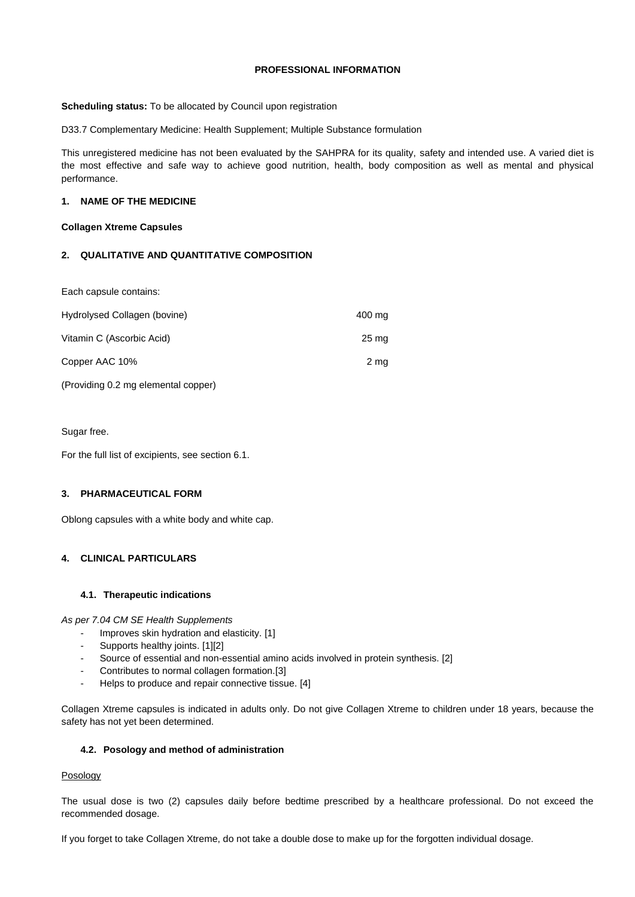### **PROFESSIONAL INFORMATION**

**Scheduling status:** To be allocated by Council upon registration

D33.7 Complementary Medicine: Health Supplement; Multiple Substance formulation

This unregistered medicine has not been evaluated by the SAHPRA for its quality, safety and intended use. A varied diet is the most effective and safe way to achieve good nutrition, health, body composition as well as mental and physical performance.

### **1. NAME OF THE MEDICINE**

### **Collagen Xtreme Capsules**

## **2. QUALITATIVE AND QUANTITATIVE COMPOSITION**

Each capsule contains:

| Hydrolysed Collagen (bovine)        | 400 mg             |
|-------------------------------------|--------------------|
| Vitamin C (Ascorbic Acid)           | $25 \,\mathrm{mg}$ |
| Copper AAC 10%                      | 2 mg               |
| (Providing 0.2 mg elemental copper) |                    |

Sugar free.

For the full list of excipients, see section 6.1.

# **3. PHARMACEUTICAL FORM**

Oblong capsules with a white body and white cap.

## **4. CLINICAL PARTICULARS**

#### **4.1. Therapeutic indications**

*As per 7.04 CM SE Health Supplements*

- Improves skin hydration and elasticity. [1]
- Supports healthy joints. [1][2]
- Source of essential and non-essential amino acids involved in protein synthesis. [2]
- Contributes to normal collagen formation.[3]
- Helps to produce and repair connective tissue. [4]

Collagen Xtreme capsules is indicated in adults only. Do not give Collagen Xtreme to children under 18 years, because the safety has not yet been determined.

#### **4.2. Posology and method of administration**

#### Posology

The usual dose is two (2) capsules daily before bedtime prescribed by a healthcare professional. Do not exceed the recommended dosage.

If you forget to take Collagen Xtreme, do not take a double dose to make up for the forgotten individual dosage.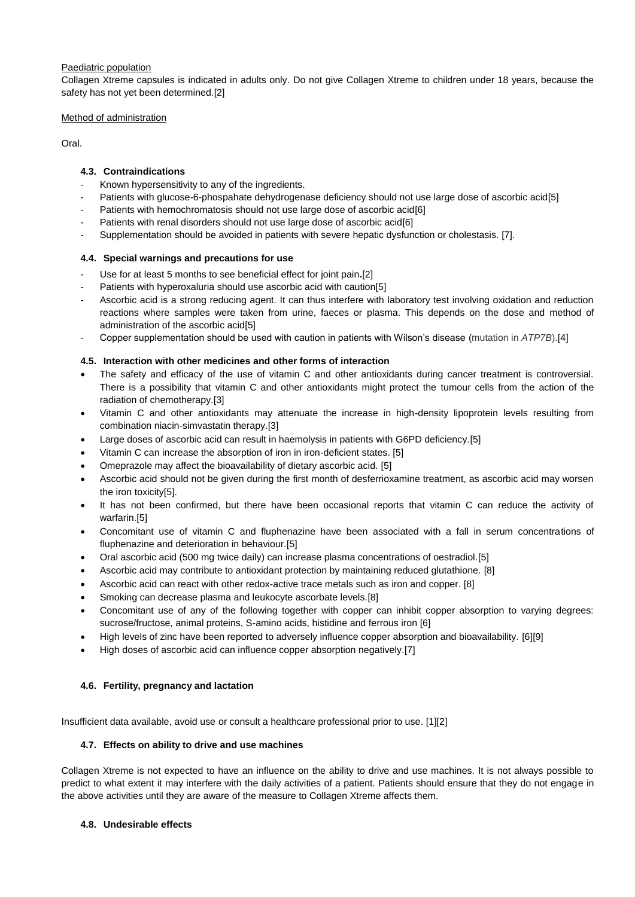### Paediatric population

Collagen Xtreme capsules is indicated in adults only. Do not give Collagen Xtreme to children under 18 years, because the safety has not yet been determined.[2]

### Method of administration

Oral.

# **4.3. Contraindications**

- Known hypersensitivity to any of the ingredients.
- Patients with glucose-6-phospahate dehydrogenase deficiency should not use large dose of ascorbic acid[5]
- Patients with hemochromatosis should not use large dose of ascorbic acid[6]
- Patients with renal disorders should not use large dose of ascorbic acid[6]
- Supplementation should be avoided in patients with severe hepatic dysfunction or cholestasis. [7].

## **4.4. Special warnings and precautions for use**

- Use for at least 5 months to see beneficial effect for joint pain**.**[2]
- Patients with hyperoxaluria should use ascorbic acid with caution[5]
- Ascorbic acid is a strong reducing agent. It can thus interfere with laboratory test involving oxidation and reduction reactions where samples were taken from urine, faeces or plasma. This depends on the dose and method of administration of the ascorbic acid[5]
- Copper supplementation should be used with caution in patients with Wilson's disease (mutation in *ATP7B*).[4]

## **4.5. Interaction with other medicines and other forms of interaction**

- The safety and efficacy of the use of vitamin C and other antioxidants during cancer treatment is controversial. There is a possibility that vitamin C and other antioxidants might protect the tumour cells from the action of the radiation of chemotherapy.[3]
- Vitamin C and other antioxidants may attenuate the increase in high-density lipoprotein levels resulting from combination niacin-simvastatin therapy.[3]
- Large doses of ascorbic acid can result in haemolysis in patients with G6PD deficiency.[5]
- Vitamin C can increase the absorption of iron in iron-deficient states. [5]
- Omeprazole may affect the bioavailability of dietary ascorbic acid. [5]
- Ascorbic acid should not be given during the first month of desferrioxamine treatment, as ascorbic acid may worsen the iron toxicity[5].
- It has not been confirmed, but there have been occasional reports that vitamin C can reduce the activity of warfarin.[5]
- Concomitant use of vitamin C and fluphenazine have been associated with a fall in serum concentrations of fluphenazine and deterioration in behaviour.[5]
- Oral ascorbic acid (500 mg twice daily) can increase plasma concentrations of oestradiol.[5]
- Ascorbic acid may contribute to antioxidant protection by maintaining reduced glutathione. [8]
- Ascorbic acid can react with other redox-active trace metals such as iron and copper. [8]
- Smoking can decrease plasma and leukocyte ascorbate levels.[8]
- Concomitant use of any of the following together with copper can inhibit copper absorption to varying degrees: sucrose/fructose, animal proteins, S-amino acids, histidine and ferrous iron [6]
- High levels of zinc have been reported to adversely influence copper absorption and bioavailability. [6][9]
- High doses of ascorbic acid can influence copper absorption negatively.[7]

## **4.6. Fertility, pregnancy and lactation**

Insufficient data available, avoid use or consult a healthcare professional prior to use. [1][2]

## **4.7. Effects on ability to drive and use machines**

Collagen Xtreme is not expected to have an influence on the ability to drive and use machines. It is not always possible to predict to what extent it may interfere with the daily activities of a patient. Patients should ensure that they do not engage in the above activities until they are aware of the measure to Collagen Xtreme affects them.

#### **4.8. Undesirable effects**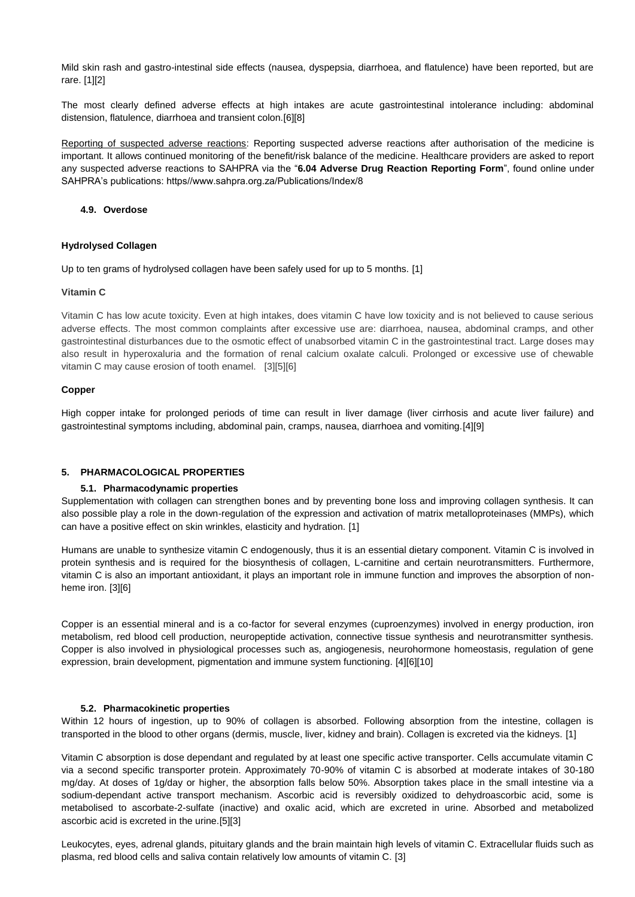Mild skin rash and gastro-intestinal side effects (nausea, dyspepsia, diarrhoea, and flatulence) have been reported, but are rare. [1][2]

The most clearly defined adverse effects at high intakes are acute gastrointestinal intolerance including: abdominal distension, flatulence, diarrhoea and transient colon.[6][8]

Reporting of suspected adverse reactions: Reporting suspected adverse reactions after authorisation of the medicine is important. It allows continued monitoring of the benefit/risk balance of the medicine. Healthcare providers are asked to report any suspected adverse reactions to SAHPRA via the "**6.04 Adverse Drug Reaction Reporting Form**", found online under SAHPRA's publications: https//www.sahpra.org.za/Publications/Index/8

#### **4.9. Overdose**

### **Hydrolysed Collagen**

Up to ten grams of hydrolysed collagen have been safely used for up to 5 months. [1]

#### **Vitamin C**

Vitamin C has low acute toxicity. Even at high intakes, does vitamin C have low toxicity and is not believed to cause serious adverse effects. The most common complaints after excessive use are: diarrhoea, nausea, abdominal cramps, and other gastrointestinal disturbances due to the osmotic effect of unabsorbed vitamin C in the gastrointestinal tract. Large doses may also result in hyperoxaluria and the formation of renal calcium oxalate calculi. Prolonged or excessive use of chewable vitamin C may cause erosion of tooth enamel. [3][5][6]

### **Copper**

High copper intake for prolonged periods of time can result in liver damage (liver cirrhosis and acute liver failure) and gastrointestinal symptoms including, abdominal pain, cramps, nausea, diarrhoea and vomiting.[4][9]

#### **5. PHARMACOLOGICAL PROPERTIES**

## **5.1. Pharmacodynamic properties**

Supplementation with collagen can strengthen bones and by preventing bone loss and improving collagen synthesis. It can also possible play a role in the down-regulation of the expression and activation of matrix metalloproteinases (MMPs), which can have a positive effect on skin wrinkles, elasticity and hydration. [1]

Humans are unable to synthesize vitamin C endogenously, thus it is an essential dietary component. Vitamin C is involved in protein synthesis and is required for the biosynthesis of collagen, L-carnitine and certain neurotransmitters. Furthermore, vitamin C is also an important antioxidant, it plays an important role in immune function and improves the absorption of nonheme iron. [3][6]

Copper is an essential mineral and is a co-factor for several enzymes (cuproenzymes) involved in energy production, iron metabolism, red blood cell production, neuropeptide activation, connective tissue synthesis and neurotransmitter synthesis. Copper is also involved in physiological processes such as, angiogenesis, neurohormone homeostasis, regulation of gene expression, brain development, pigmentation and immune system functioning. [4][6][10]

#### **5.2. Pharmacokinetic properties**

Within 12 hours of ingestion, up to 90% of collagen is absorbed. Following absorption from the intestine, collagen is transported in the blood to other organs (dermis, muscle, liver, kidney and brain). Collagen is excreted via the kidneys. [1]

Vitamin C absorption is dose dependant and regulated by at least one specific active transporter. Cells accumulate vitamin C via a second specific transporter protein. Approximately 70-90% of vitamin C is absorbed at moderate intakes of 30-180 mg/day. At doses of 1g/day or higher, the absorption falls below 50%. Absorption takes place in the small intestine via a sodium-dependant active transport mechanism. Ascorbic acid is reversibly oxidized to dehydroascorbic acid, some is metabolised to ascorbate-2-sulfate (inactive) and oxalic acid, which are excreted in urine. Absorbed and metabolized ascorbic acid is excreted in the urine.[5][3]

Leukocytes, eyes, adrenal glands, pituitary glands and the brain maintain high levels of vitamin C. Extracellular fluids such as plasma, red blood cells and saliva contain relatively low amounts of vitamin C. [3]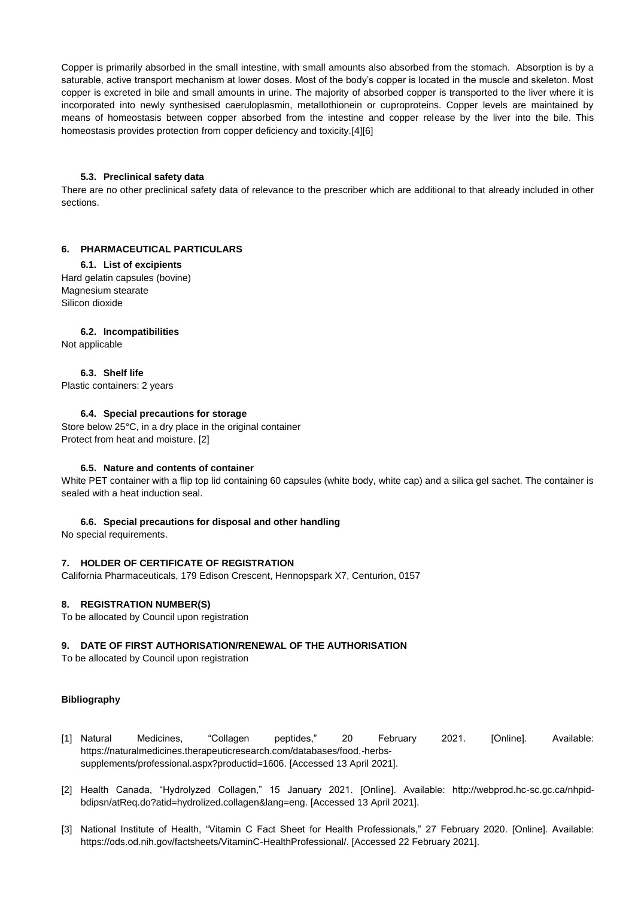Copper is primarily absorbed in the small intestine, with small amounts also absorbed from the stomach. Absorption is by a saturable, active transport mechanism at lower doses. Most of the body's copper is located in the muscle and skeleton. Most copper is excreted in bile and small amounts in urine. The majority of absorbed copper is transported to the liver where it is incorporated into newly synthesised caeruloplasmin, metallothionein or cuproproteins. Copper levels are maintained by means of homeostasis between copper absorbed from the intestine and copper release by the liver into the bile. This homeostasis provides protection from copper deficiency and toxicity.[4][6]

#### **5.3. Preclinical safety data**

There are no other preclinical safety data of relevance to the prescriber which are additional to that already included in other sections.

## **6. PHARMACEUTICAL PARTICULARS**

#### **6.1. List of excipients**

Hard gelatin capsules (bovine) Magnesium stearate Silicon dioxide

#### **6.2. Incompatibilities**

Not applicable

## **6.3. Shelf life**

Plastic containers: 2 years

### **6.4. Special precautions for storage**

Store below 25°C, in a dry place in the original container Protect from heat and moisture. [2]

#### **6.5. Nature and contents of container**

White PET container with a flip top lid containing 60 capsules (white body, white cap) and a silica gel sachet. The container is sealed with a heat induction seal.

#### **6.6. Special precautions for disposal and other handling**

No special requirements.

#### **7. HOLDER OF CERTIFICATE OF REGISTRATION**

California Pharmaceuticals, 179 Edison Crescent, Hennopspark X7, Centurion, 0157

#### **8. REGISTRATION NUMBER(S)**

To be allocated by Council upon registration

#### **9. DATE OF FIRST AUTHORISATION/RENEWAL OF THE AUTHORISATION**

To be allocated by Council upon registration

#### **Bibliography**

- [1] Natural Medicines, "Collagen peptides," 20 February 2021. [Online]. Available: https://naturalmedicines.therapeuticresearch.com/databases/food,-herbssupplements/professional.aspx?productid=1606. [Accessed 13 April 2021].
- [2] Health Canada, "Hydrolyzed Collagen," 15 January 2021. [Online]. Available: http://webprod.hc-sc.gc.ca/nhpidbdipsn/atReq.do?atid=hydrolized.collagen&lang=eng. [Accessed 13 April 2021].
- [3] National Institute of Health, "Vitamin C Fact Sheet for Health Professionals," 27 February 2020. [Online]. Available: https://ods.od.nih.gov/factsheets/VitaminC-HealthProfessional/. [Accessed 22 February 2021].